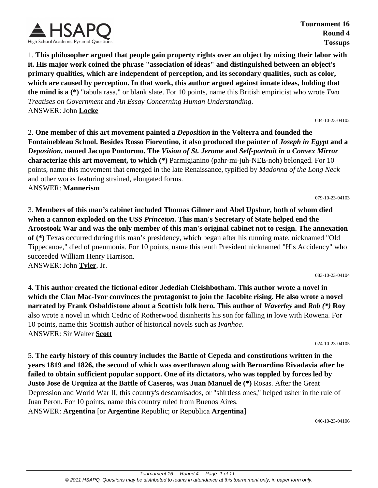

**Tournament 16 Round 4 Tossups**

1. **This philosopher argued that people gain property rights over an object by mixing their labor with it. His major work coined the phrase "association of ideas" and distinguished between an object's primary qualities, which are independent of perception, and its secondary qualities, such as color, which are caused by perception. In that work, this author argued against innate ideas, holding that the mind is a (\*)** "tabula rasa," or blank slate. For 10 points, name this British empiricist who wrote *Two Treatises on Government* and *An Essay Concerning Human Understanding*. ANSWER: John **Locke**

004-10-23-04102

2. **One member of this art movement painted a** *Deposition* **in the Volterra and founded the Fontainebleau School. Besides Rosso Fiorentino, it also produced the painter of** *Joseph in Egypt* **and a** *Deposition***, named Jacopo Pontormo. The** *Vision of St. Jerome* **and** *Self-portrait in a Convex Mirror* **characterize this art movement, to which (\*)** Parmigianino (pahr-mi-juh-NEE-noh) belonged. For 10 points, name this movement that emerged in the late Renaissance, typified by *Madonna of the Long Neck* and other works featuring strained, elongated forms.

ANSWER: **Mannerism**

3. **Members of this man's cabinet included Thomas Gilmer and Abel Upshur, both of whom died when a cannon exploded on the USS** *Princeton***. This man's Secretary of State helped end the Aroostook War and was the only member of this man's original cabinet not to resign. The annexation of (\*)** Texas occurred during this man's presidency, which began after his running mate, nicknamed "Old Tippecanoe," died of pneumonia. For 10 points, name this tenth President nicknamed "His Accidency" who succeeded William Henry Harrison. ANSWER: John **Tyler**, Jr.

083-10-23-04104

079-10-23-04103

4. **This author created the fictional editor Jedediah Cleishbotham. This author wrote a novel in which the Clan Mac-Ivor convinces the protagonist to join the Jacobite rising. He also wrote a novel narrated by Frank Osbaldistone about a Scottish folk hero. This author of** *Waverley* **and** *Rob (\*)* **Roy** also wrote a novel in which Cedric of Rotherwood disinherits his son for falling in love with Rowena. For 10 points, name this Scottish author of historical novels such as *Ivanhoe*. ANSWER: Sir Walter **Scott**

024-10-23-04105

5. **The early history of this country includes the Battle of Cepeda and constitutions written in the years 1819 and 1826, the second of which was overthrown along with Bernardino Rivadavia after he failed to obtain sufficient popular support. One of its dictators, who was toppled by forces led by Justo Jose de Urquiza at the Battle of Caseros, was Juan Manuel de (\*)** Rosas. After the Great Depression and World War II, this country's descamisados, or "shirtless ones," helped usher in the rule of Juan Peron. For 10 points, name this country ruled from Buenos Aires. ANSWER: **Argentina** [or **Argentine** Republic; or Republica **Argentina**]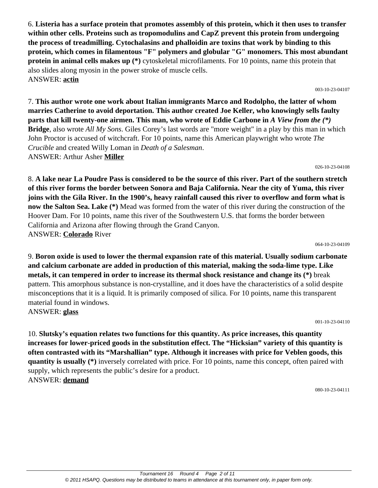6. **Listeria has a surface protein that promotes assembly of this protein, which it then uses to transfer within other cells. Proteins such as tropomodulins and CapZ prevent this protein from undergoing the process of treadmilling. Cytochalasins and phalloidin are toxins that work by binding to this protein, which comes in filamentous "F" polymers and globular "G" monomers. This most abundant protein in animal cells makes up (\*)** cytoskeletal microfilaments. For 10 points, name this protein that also slides along myosin in the power stroke of muscle cells. ANSWER: **actin**

7. **This author wrote one work about Italian immigrants Marco and Rodolpho, the latter of whom marries Catherine to avoid deportation. This author created Joe Keller, who knowingly sells faulty parts that kill twenty-one airmen. This man, who wrote of Eddie Carbone in** *A View from the (\*)* **Bridge**, also wrote *All My Sons*. Giles Corey's last words are "more weight" in a play by this man in which John Proctor is accused of witchcraft. For 10 points, name this American playwright who wrote *The Crucible* and created Willy Loman in *Death of a Salesman*. ANSWER: Arthur Asher **Miller**

8. **A lake near La Poudre Pass is considered to be the source of this river. Part of the southern stretch of this river forms the border between Sonora and Baja California. Near the city of Yuma, this river joins with the Gila River. In the 1900's, heavy rainfall caused this river to overflow and form what is now the Salton Sea. Lake (\*)** Mead was formed from the water of this river during the construction of the Hoover Dam. For 10 points, name this river of the Southwestern U.S. that forms the border between California and Arizona after flowing through the Grand Canyon. ANSWER: **Colorado** River

9. **Boron oxide is used to lower the thermal expansion rate of this material. Usually sodium carbonate and calcium carbonate are added in production of this material, making the soda-lime type. Like metals, it can tempered in order to increase its thermal shock resistance and change its (\*)** break pattern. This amorphous substance is non-crystalline, and it does have the characteristics of a solid despite misconceptions that it is a liquid. It is primarily composed of silica. For 10 points, name this transparent material found in windows. ANSWER: **glass**

10. **Slutsky's equation relates two functions for this quantity. As price increases, this quantity increases for lower-priced goods in the substitution effect. The "Hicksian" variety of this quantity is often contrasted with its "Marshallian" type. Although it increases with price for Veblen goods, this quantity is usually (\*)** inversely correlated with price. For 10 points, name this concept, often paired with supply, which represents the public's desire for a product. ANSWER: **demand**

001-10-23-04110

064-10-23-04109

026-10-23-04108

003-10-23-04107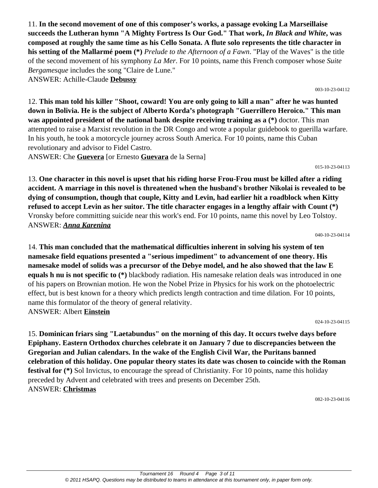11. **In the second movement of one of this composer's works, a passage evoking La Marseillaise succeeds the Lutheran hymn "A Mighty Fortress Is Our God." That work,** *In Black and White***, was composed at roughly the same time as his Cello Sonata. A flute solo represents the title character in his setting of the Mallarmé poem (\*)** *Prelude to the Afternoon of a Fawn*. "Play of the Waves" is the title of the second movement of his symphony *La Mer*. For 10 points, name this French composer whose *Suite Bergamesque* includes the song "Claire de Lune." ANSWER: Achille-Claude **Debussy**

12. **This man told his killer "Shoot, coward! You are only going to kill a man" after he was hunted down in Bolivia. He is the subject of Alberto Korda's photograph "Guerrillero Heroico." This man was appointed president of the national bank despite receiving training as a (\*)** doctor. This man attempted to raise a Marxist revolution in the DR Congo and wrote a popular guidebook to guerilla warfare. In his youth, he took a motorcycle journey across South America. For 10 points, name this Cuban revolutionary and advisor to Fidel Castro.

ANSWER: Che **Guevera** [or Ernesto **Guevara** de la Serna]

13. **One character in this novel is upset that his riding horse Frou-Frou must be killed after a riding accident. A marriage in this novel is threatened when the husband's brother Nikolai is revealed to be dying of consumption, though that couple, Kitty and Levin, had earlier hit a roadblock when Kitty refused to accept Levin as her suitor. The title character engages in a lengthy affair with Count (\*)** Vronsky before committing suicide near this work's end. For 10 points, name this novel by Leo Tolstoy. ANSWER: *Anna Karenina*

040-10-23-04114

015-10-23-04113

14. **This man concluded that the mathematical difficulties inherent in solving his system of ten namesake field equations presented a "serious impediment" to advancement of one theory. His namesake model of solids was a precursor of the Debye model, and he also showed that the law E equals h nu is not specific to (\*)** blackbody radiation. His namesake relation deals was introduced in one of his papers on Brownian motion. He won the Nobel Prize in Physics for his work on the photoelectric effect, but is best known for a theory which predicts length contraction and time dilation. For 10 points, name this formulator of the theory of general relativity. ANSWER: Albert **Einstein**

024-10-23-04115

15. **Dominican friars sing "Laetabundus" on the morning of this day. It occurs twelve days before Epiphany. Eastern Orthodox churches celebrate it on January 7 due to discrepancies between the Gregorian and Julian calendars. In the wake of the English Civil War, the Puritans banned celebration of this holiday. One popular theory states its date was chosen to coincide with the Roman festival for (\*)** Sol Invictus, to encourage the spread of Christianity. For 10 points, name this holiday preceded by Advent and celebrated with trees and presents on December 25th. ANSWER: **Christmas**

082-10-23-04116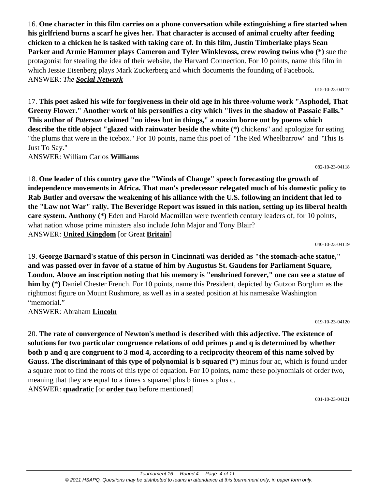16. **One character in this film carries on a phone conversation while extinguishing a fire started when his girlfriend burns a scarf he gives her. That character is accused of animal cruelty after feeding chicken to a chicken he is tasked with taking care of. In this film, Justin Timberlake plays Sean Parker and Armie Hammer plays Cameron and Tyler Winklevoss, crew rowing twins who (\*)** sue the protagonist for stealing the idea of their website, the Harvard Connection. For 10 points, name this film in which Jessie Eisenberg plays Mark Zuckerberg and which documents the founding of Facebook. ANSWER: *The Social Network*

17. **This poet asked his wife for forgiveness in their old age in his three-volume work "Asphodel, That Greeny Flower." Another work of his personifies a city which "lives in the shadow of Passaic Falls." This author of** *Paterson* **claimed "no ideas but in things," a maxim borne out by poems which describe the title object "glazed with rainwater beside the white (\*)** chickens" and apologize for eating "the plums that were in the icebox." For 10 points, name this poet of "The Red Wheelbarrow" and "This Is Just To Say."

ANSWER: William Carlos **Williams**

18. **One leader of this country gave the "Winds of Change" speech forecasting the growth of independence movements in Africa. That man's predecessor relegated much of his domestic policy to Rab Butler and oversaw the weakening of his alliance with the U.S. following an incident that led to the "Law not War" rally. The Beveridge Report was issued in this nation, setting up its liberal health care system. Anthony (\*)** Eden and Harold Macmillan were twentieth century leaders of, for 10 points, what nation whose prime ministers also include John Major and Tony Blair? ANSWER: **United Kingdom** [or Great **Britain**]

19. **George Barnard's statue of this person in Cincinnati was derided as "the stomach-ache statue," and was passed over in favor of a statue of him by Augustus St. Gaudens for Parliament Square, London. Above an inscription noting that his memory is "enshrined forever," one can see a statue of him by (\*)** Daniel Chester French. For 10 points, name this President, depicted by Gutzon Borglum as the rightmost figure on Mount Rushmore, as well as in a seated position at his namesake Washington "memorial."

ANSWER: Abraham **Lincoln**

019-10-23-04120

20. **The rate of convergence of Newton's method is described with this adjective. The existence of solutions for two particular congruence relations of odd primes p and q is determined by whether both p and q are congruent to 3 mod 4, according to a reciprocity theorem of this name solved by Gauss. The discriminant of this type of polynomial is b squared (\*)** minus four ac, which is found under a square root to find the roots of this type of equation. For 10 points, name these polynomials of order two, meaning that they are equal to a times x squared plus b times x plus c. ANSWER: **quadratic** [or **order two** before mentioned]

001-10-23-04121

# 040-10-23-04119

#### 015-10-23-04117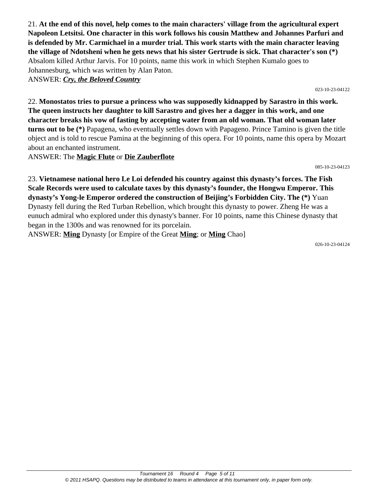21. **At the end of this novel, help comes to the main characters' village from the agricultural expert Napoleon Letsitsi. One character in this work follows his cousin Matthew and Johannes Parfuri and is defended by Mr. Carmichael in a murder trial. This work starts with the main character leaving the village of Ndotsheni when he gets news that his sister Gertrude is sick. That character's son (\*)** Absalom killed Arthur Jarvis. For 10 points, name this work in which Stephen Kumalo goes to Johannesburg, which was written by Alan Paton.

ANSWER: *Cry, the Beloved Country*

023-10-23-04122

22. **Monostatos tries to pursue a princess who was supposedly kidnapped by Sarastro in this work. The queen instructs her daughter to kill Sarastro and gives her a dagger in this work, and one character breaks his vow of fasting by accepting water from an old woman. That old woman later turns out to be (\*)** Papagena, who eventually settles down with Papageno. Prince Tamino is given the title object and is told to rescue Pamina at the beginning of this opera. For 10 points, name this opera by Mozart about an enchanted instrument.

ANSWER: The **Magic Flute** or **Die Zauberflote**

085-10-23-04123

23. **Vietnamese national hero Le Loi defended his country against this dynasty's forces. The Fish Scale Records were used to calculate taxes by this dynasty's founder, the Hongwu Emperor. This dynasty's Yong-le Emperor ordered the construction of Beijing's Forbidden City. The (\*)** Yuan Dynasty fell during the Red Turban Rebellion, which brought this dynasty to power. Zheng He was a eunuch admiral who explored under this dynasty's banner. For 10 points, name this Chinese dynasty that began in the 1300s and was renowned for its porcelain.

ANSWER: **Ming** Dynasty [or Empire of the Great **Ming**; or **Ming** Chao]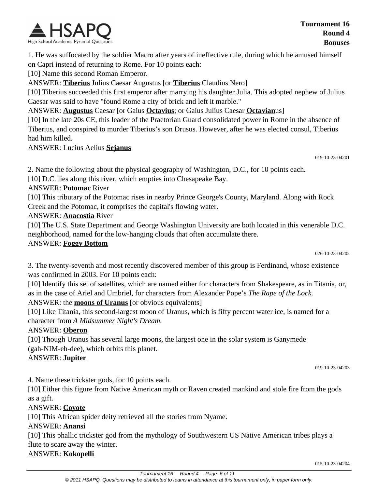

1. He was suffocated by the soldier Macro after years of ineffective rule, during which he amused himself on Capri instead of returning to Rome. For 10 points each:

[10] Name this second Roman Emperor.

ANSWER: **Tiberius** Julius Caesar Augustus [or **Tiberius** Claudius Nero]

[10] Tiberius succeeded this first emperor after marrying his daughter Julia. This adopted nephew of Julius Caesar was said to have "found Rome a city of brick and left it marble."

ANSWER: **Augustus** Caesar [or Gaius **Octavius**; or Gaius Julius Caesar **Octavian**us]

[10] In the late 20s CE, this leader of the Praetorian Guard consolidated power in Rome in the absence of Tiberius, and conspired to murder Tiberius's son Drusus. However, after he was elected consul, Tiberius had him killed.

ANSWER: Lucius Aelius **Sejanus**

019-10-23-04201

2. Name the following about the physical geography of Washington, D.C., for 10 points each.

[10] D.C. lies along this river, which empties into Chesapeake Bay.

ANSWER: **Potomac** River

[10] This tributary of the Potomac rises in nearby Prince George's County, Maryland. Along with Rock Creek and the Potomac, it comprises the capital's flowing water.

ANSWER: **Anacostia** River

[10] The U.S. State Department and George Washington University are both located in this venerable D.C. neighborhood, named for the low-hanging clouds that often accumulate there.

#### ANSWER: **Foggy Bottom**

026-10-23-04202

3. The twenty-seventh and most recently discovered member of this group is Ferdinand, whose existence was confirmed in 2003. For 10 points each:

[10] Identify this set of satellites, which are named either for characters from Shakespeare, as in Titania, or, as in the case of Ariel and Umbriel, for characters from Alexander Pope's *The Rape of the Lock.* ANSWER: the **moons of Uranus** [or obvious equivalents]

[10] Like Titania, this second-largest moon of Uranus, which is fifty percent water ice, is named for a character from *A Midsummer Night's Dream.*

#### ANSWER: **Oberon**

[10] Though Uranus has several large moons, the largest one in the solar system is Ganymede (gah-NIM-eh-dee), which orbits this planet.

#### ANSWER: **Jupiter**

019-10-23-04203

4. Name these trickster gods, for 10 points each.

[10] Either this figure from Native American myth or Raven created mankind and stole fire from the gods as a gift.

#### ANSWER: **Coyote**

[10] This African spider deity retrieved all the stories from Nyame.

#### ANSWER: **Anansi**

[10] This phallic trickster god from the mythology of Southwestern US Native American tribes plays a flute to scare away the winter.

ANSWER: **Kokopelli**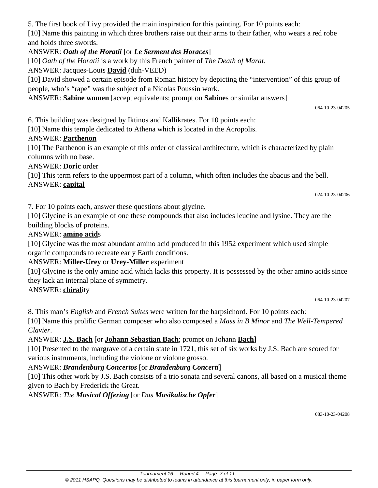5. The first book of Livy provided the main inspiration for this painting. For 10 points each:

[10] Name this painting in which three brothers raise out their arms to their father, who wears a red robe and holds three swords.

## ANSWER: *Oath of the Horatii* [or *Le Serment des Horaces*]

[10] *Oath of the Horatii* is a work by this French painter of *The Death of Marat*.

ANSWER: Jacques-Louis **David** (duh-VEED)

[10] David showed a certain episode from Roman history by depicting the "intervention" of this group of people, who's "rape" was the subject of a Nicolas Poussin work.

ANSWER: **Sabine women** [accept equivalents; prompt on **Sabine**s or similar answers]

064-10-23-04205

6. This building was designed by Iktinos and Kallikrates. For 10 points each:

[10] Name this temple dedicated to Athena which is located in the Acropolis.

# ANSWER: **Parthenon**

[10] The Parthenon is an example of this order of classical architecture, which is characterized by plain columns with no base.

ANSWER: **Doric** order

[10] This term refers to the uppermost part of a column, which often includes the abacus and the bell. ANSWER: **capital**

024-10-23-04206

7. For 10 points each, answer these questions about glycine.

[10] Glycine is an example of one these compounds that also includes leucine and lysine. They are the building blocks of proteins.

## ANSWER: **amino acid**s

[10] Glycine was the most abundant amino acid produced in this 1952 experiment which used simple organic compounds to recreate early Earth conditions.

# ANSWER: **Miller-Urey** or **Urey-Miller** experiment

[10] Glycine is the only amino acid which lacks this property. It is possessed by the other amino acids since they lack an internal plane of symmetry.

# ANSWER: **chiral**ity

064-10-23-04207

8. This man's *English* and *French Suites* were written for the harpsichord. For 10 points each:

[10] Name this prolific German composer who also composed a *Mass in B Minor* and *The Well-Tempered Clavier*.

# ANSWER: **J.S. Bach** [or **Johann Sebastian Bach**; prompt on Johann **Bach**]

[10] Presented to the margrave of a certain state in 1721, this set of six works by J.S. Bach are scored for various instruments, including the violone or violone grosso.

# ANSWER: *Brandenburg Concertos* [or *Brandenburg Concerti*]

[10] This other work by J.S. Bach consists of a trio sonata and several canons, all based on a musical theme given to Bach by Frederick the Great.

ANSWER: *The Musical Offering* [or *Das Musikalische Opfer*]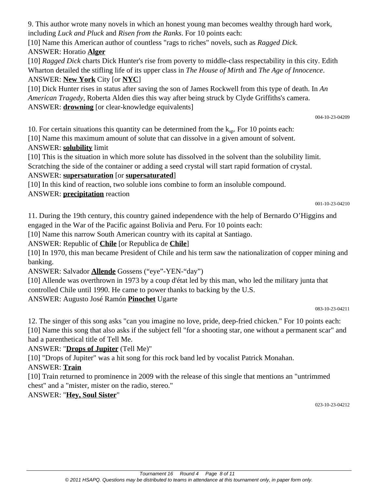9. This author wrote many novels in which an honest young man becomes wealthy through hard work, including *Luck and Pluck* and *Risen from the Ranks*. For 10 points each:

[10] Name this American author of countless "rags to riches" novels, such as *Ragged Dick*. ANSWER: Horatio **Alger**

[10] *Ragged Dick* charts Dick Hunter's rise from poverty to middle-class respectability in this city. Edith Wharton detailed the stifling life of its upper class in *The House of Mirth* and *The Age of Innocence*. ANSWER: **New York** City [or **NYC**]

[10] Dick Hunter rises in status after saving the son of James Rockwell from this type of death. In *An American Tragedy*, Roberta Alden dies this way after being struck by Clyde Griffiths's camera. ANSWER: **drowning** [or clear-knowledge equivalents]

004-10-23-04209

10. For certain situations this quantity can be determined from the  $k_{\rm{so}}$ . For 10 points each:

[10] Name this maximum amount of solute that can dissolve in a given amount of solvent. ANSWER: **solubility** limit

[10] This is the situation in which more solute has dissolved in the solvent than the solubility limit.

Scratching the side of the container or adding a seed crystal will start rapid formation of crystal.

# ANSWER: **supersaturation** [or **supersaturated**]

[10] In this kind of reaction, two soluble ions combine to form an insoluble compound.

# ANSWER: **precipitation** reaction

001-10-23-04210

11. During the 19th century, this country gained independence with the help of Bernardo O'Higgins and engaged in the War of the Pacific against Bolivia and Peru. For 10 points each:

[10] Name this narrow South American country with its capital at Santiago.

ANSWER: Republic of **Chile** [or Republica de **Chile**]

[10] In 1970, this man became President of Chile and his term saw the nationalization of copper mining and banking.

ANSWER: Salvador **Allende** Gossens ("eye"-YEN-"day")

[10] Allende was overthrown in 1973 by a coup d'état led by this man, who led the military junta that controlled Chile until 1990. He came to power thanks to backing by the U.S.

# ANSWER: Augusto José Ramón **Pinochet** Ugarte

12. The singer of this song asks "can you imagine no love, pride, deep-fried chicken." For 10 points each: [10] Name this song that also asks if the subject fell "for a shooting star, one without a permanent scar" and had a parenthetical title of Tell Me.

# ANSWER: "**Drops of Jupiter** (Tell Me)"

[10] "Drops of Jupiter" was a hit song for this rock band led by vocalist Patrick Monahan.

# ANSWER: **Train**

[10] Train returned to prominence in 2009 with the release of this single that mentions an "untrimmed chest" and a "mister, mister on the radio, stereo."

# ANSWER: "**Hey, Soul Sister**"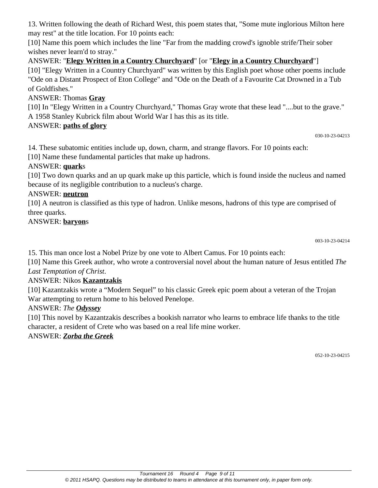13. Written following the death of Richard West, this poem states that, "Some mute inglorious Milton here may rest" at the title location. For 10 points each:

[10] Name this poem which includes the line "Far from the madding crowd's ignoble strife/Their sober wishes never learn'd to stray."

# ANSWER: "**Elegy Written in a Country Churchyard**" [or "**Elegy in a Country Churchyard**"]

[10] "Elegy Written in a Country Churchyard" was written by this English poet whose other poems include "Ode on a Distant Prospect of Eton College" and "Ode on the Death of a Favourite Cat Drowned in a Tub of Goldfishes."

#### ANSWER: Thomas **Gray**

[10] In "Elegy Written in a Country Churchyard," Thomas Gray wrote that these lead "....but to the grave." A 1958 Stanley Kubrick film about World War I has this as its title.

#### ANSWER: **paths of glory**

030-10-23-04213

14. These subatomic entities include up, down, charm, and strange flavors. For 10 points each:

[10] Name these fundamental particles that make up hadrons.

## ANSWER: **quark**s

[10] Two down quarks and an up quark make up this particle, which is found inside the nucleus and named because of its negligible contribution to a nucleus's charge.

## ANSWER: **neutron**

[10] A neutron is classified as this type of hadron. Unlike mesons, hadrons of this type are comprised of three quarks.

## ANSWER: **baryon**s

003-10-23-04214

15. This man once lost a Nobel Prize by one vote to Albert Camus. For 10 points each:

[10] Name this Greek author, who wrote a controversial novel about the human nature of Jesus entitled *The Last Temptation of Christ*.

#### ANSWER: Nikos **Kazantzakis**

[10] Kazantzakis wrote a "Modern Sequel" to his classic Greek epic poem about a veteran of the Trojan War attempting to return home to his beloved Penelope.

# ANSWER: *The Odyssey*

[10] This novel by Kazantzakis describes a bookish narrator who learns to embrace life thanks to the title character, a resident of Crete who was based on a real life mine worker.

#### ANSWER: *Zorba the Greek*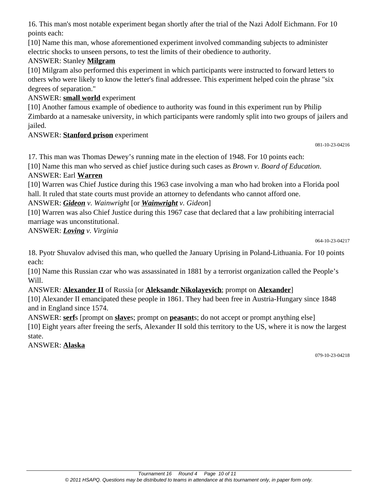16. This man's most notable experiment began shortly after the trial of the Nazi Adolf Eichmann. For 10 points each:

[10] Name this man, whose aforementioned experiment involved commanding subjects to administer electric shocks to unseen persons, to test the limits of their obedience to authority.

# ANSWER: Stanley **Milgram**

[10] Milgram also performed this experiment in which participants were instructed to forward letters to others who were likely to know the letter's final addressee. This experiment helped coin the phrase "six degrees of separation."

#### ANSWER: **small world** experiment

[10] Another famous example of obedience to authority was found in this experiment run by Philip Zimbardo at a namesake university, in which participants were randomly split into two groups of jailers and jailed.

#### ANSWER: **Stanford prison** experiment

081-10-23-04216

17. This man was Thomas Dewey's running mate in the election of 1948. For 10 points each:

[10] Name this man who served as chief justice during such cases as *Brown v. Board of Education*.

#### ANSWER: Earl **Warren**

[10] Warren was Chief Justice during this 1963 case involving a man who had broken into a Florida pool hall. It ruled that state courts must provide an attorney to defendants who cannot afford one.

ANSWER: *Gideon v. Wainwright* [or *Wainwright v. Gideon*]

[10] Warren was also Chief Justice during this 1967 case that declared that a law prohibiting interracial marriage was unconstitutional.

ANSWER: *Loving v. Virginia*

064-10-23-04217

18. Pyotr Shuvalov advised this man, who quelled the January Uprising in Poland-Lithuania. For 10 points each:

[10] Name this Russian czar who was assassinated in 1881 by a terrorist organization called the People's Will.

#### ANSWER: **Alexander II** of Russia [or **Aleksandr Nikolayevich**; prompt on **Alexander**]

[10] Alexander II emancipated these people in 1861. They had been free in Austria-Hungary since 1848 and in England since 1574.

ANSWER: **serf**s [prompt on **slave**s; prompt on **peasant**s; do not accept or prompt anything else]

[10] Eight years after freeing the serfs, Alexander II sold this territory to the US, where it is now the largest state.

ANSWER: **Alaska**